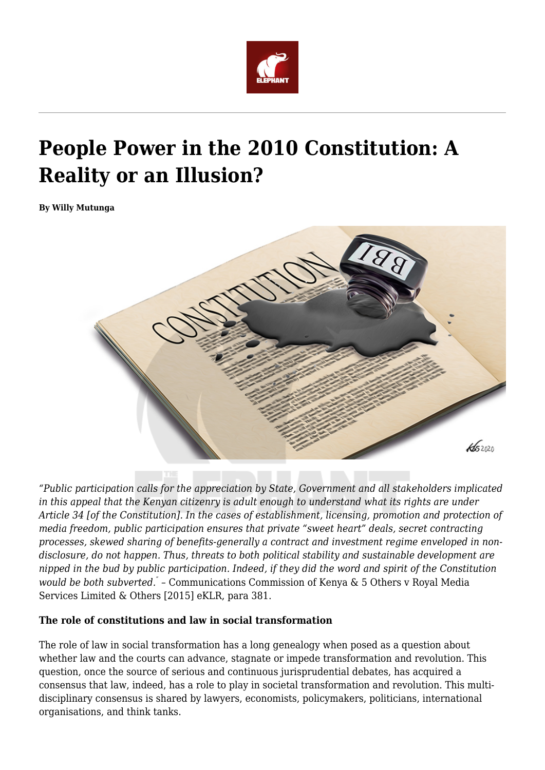

# **People Power in the 2010 Constitution: A Reality or an Illusion?**

**By Willy Mutunga**



*"Public participation calls for the appreciation by State, Government and all stakeholders implicated in this appeal that the Kenyan citizenry is adult enough to understand what its rights are under Article 34 [of the Constitution]. In the cases of establishment, licensing, promotion and protection of media freedom, public participation ensures that private "sweet heart" deals, secret contracting processes, skewed sharing of benefits-generally a contract and investment regime enveloped in nondisclosure, do not happen. Thus, threats to both political stability and sustainable development are nipped in the bud by public participation. Indeed, if they did the word and spirit of the Constitution would be both subverted." –* Communications Commission of Kenya & 5 Others v Royal Media Services Limited & Others [2015] eKLR, para 381.

#### **The role of constitutions and law in social transformation**

The role of law in social transformation has a long genealogy when posed as a question about whether law and the courts can advance, stagnate or impede transformation and revolution. This question, once the source of serious and continuous jurisprudential debates, has acquired a consensus that law, indeed, has a role to play in societal transformation and revolution. This multidisciplinary consensus is shared by lawyers, economists, policymakers, politicians, international organisations, and think tanks.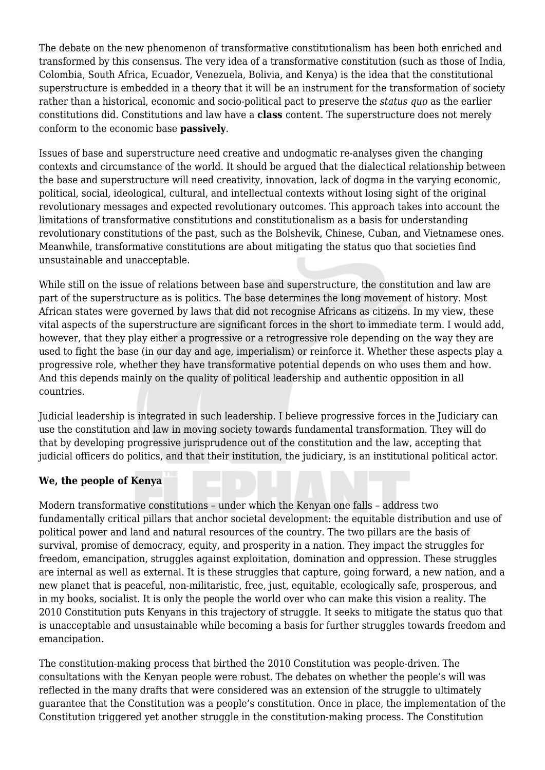The debate on the new phenomenon of transformative constitutionalism has been both enriched and transformed by this consensus. The very idea of a transformative constitution (such as those of India, Colombia, South Africa, Ecuador, Venezuela, Bolivia, and Kenya) is the idea that the constitutional superstructure is embedded in a theory that it will be an instrument for the transformation of society rather than a historical, economic and socio-political pact to preserve the *status quo* as the earlier constitutions did. Constitutions and law have a **class** content. The superstructure does not merely conform to the economic base **passively**.

Issues of base and superstructure need creative and undogmatic re-analyses given the changing contexts and circumstance of the world. It should be argued that the dialectical relationship between the base and superstructure will need creativity, innovation, lack of dogma in the varying economic, political, social, ideological, cultural, and intellectual contexts without losing sight of the original revolutionary messages and expected revolutionary outcomes. This approach takes into account the limitations of transformative constitutions and constitutionalism as a basis for understanding revolutionary constitutions of the past, such as the Bolshevik, Chinese, Cuban, and Vietnamese ones. Meanwhile, transformative constitutions are about mitigating the status quo that societies find unsustainable and unacceptable.

While still on the issue of relations between base and superstructure, the constitution and law are part of the superstructure as is politics. The base determines the long movement of history. Most African states were governed by laws that did not recognise Africans as citizens. In my view, these vital aspects of the superstructure are significant forces in the short to immediate term. I would add, however, that they play either a progressive or a retrogressive role depending on the way they are used to fight the base (in our day and age, imperialism) or reinforce it. Whether these aspects play a progressive role, whether they have transformative potential depends on who uses them and how. And this depends mainly on the quality of political leadership and authentic opposition in all countries.

Judicial leadership is integrated in such leadership. I believe progressive forces in the Judiciary can use the constitution and law in moving society towards fundamental transformation. They will do that by developing progressive jurisprudence out of the constitution and the law, accepting that judicial officers do politics, and that their institution, the judiciary, is an institutional political actor.

### **We, the people of Kenya**

Modern transformative constitutions – under which the Kenyan one falls – address two fundamentally critical pillars that anchor societal development: the equitable distribution and use of political power and land and natural resources of the country. The two pillars are the basis of survival, promise of democracy, equity, and prosperity in a nation. They impact the struggles for freedom, emancipation, struggles against exploitation, domination and oppression. These struggles are internal as well as external. It is these struggles that capture, going forward, a new nation, and a new planet that is peaceful, non-militaristic, free, just, equitable, ecologically safe, prosperous, and in my books, socialist. It is only the people the world over who can make this vision a reality. The 2010 Constitution puts Kenyans in this trajectory of struggle. It seeks to mitigate the status quo that is unacceptable and unsustainable while becoming a basis for further struggles towards freedom and emancipation.

The constitution-making process that birthed the 2010 Constitution was people-driven. The consultations with the Kenyan people were robust. The debates on whether the people's will was reflected in the many drafts that were considered was an extension of the struggle to ultimately guarantee that the Constitution was a people's constitution. Once in place, the implementation of the Constitution triggered yet another struggle in the constitution-making process. The Constitution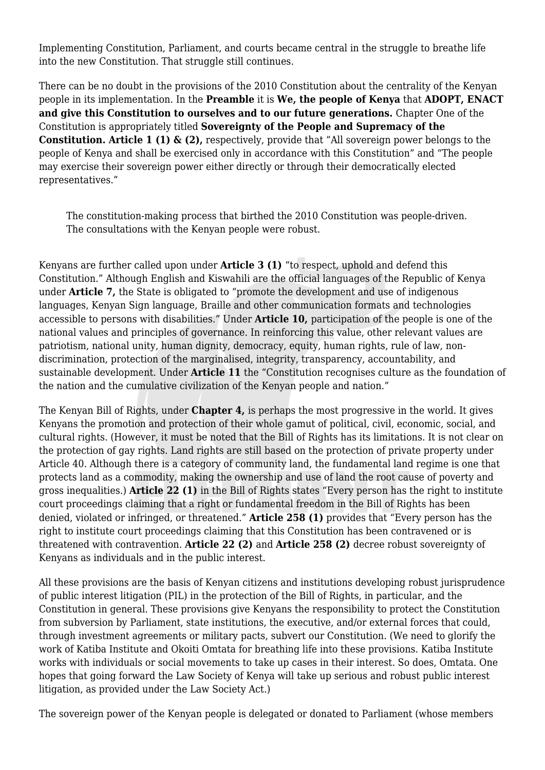Implementing Constitution, Parliament, and courts became central in the struggle to breathe life into the new Constitution. That struggle still continues.

There can be no doubt in the provisions of the 2010 Constitution about the centrality of the Kenyan people in its implementation. In the **Preamble** it is **We, the people of Kenya** that **ADOPT, ENACT and give this Constitution to ourselves and to our future generations.** Chapter One of the Constitution is appropriately titled **Sovereignty of the People and Supremacy of the Constitution. Article 1 (1) & (2),** respectively, provide that "All sovereign power belongs to the people of Kenya and shall be exercised only in accordance with this Constitution" and "The people may exercise their sovereign power either directly or through their democratically elected representatives."

The constitution-making process that birthed the 2010 Constitution was people-driven. The consultations with the Kenyan people were robust.

Kenyans are further called upon under **Article 3 (1)** "to respect, uphold and defend this Constitution." Although English and Kiswahili are the official languages of the Republic of Kenya under **Article 7,** the State is obligated to "promote the development and use of indigenous languages, Kenyan Sign language, Braille and other communication formats and technologies accessible to persons with disabilities." Under **Article 10,** participation of the people is one of the national values and principles of governance. In reinforcing this value, other relevant values are patriotism, national unity, human dignity, democracy, equity, human rights, rule of law, nondiscrimination, protection of the marginalised, integrity, transparency, accountability, and sustainable development. Under **Article 11** the "Constitution recognises culture as the foundation of the nation and the cumulative civilization of the Kenyan people and nation."

The Kenyan Bill of Rights, under **Chapter 4,** is perhaps the most progressive in the world. It gives Kenyans the promotion and protection of their whole gamut of political, civil, economic, social, and cultural rights. (However, it must be noted that the Bill of Rights has its limitations. It is not clear on the protection of gay rights. Land rights are still based on the protection of private property under Article 40. Although there is a category of community land, the fundamental land regime is one that protects land as a commodity, making the ownership and use of land the root cause of poverty and gross inequalities.) **Article 22 (1)** in the Bill of Rights states "Every person has the right to institute court proceedings claiming that a right or fundamental freedom in the Bill of Rights has been denied, violated or infringed, or threatened." **Article 258 (1)** provides that "Every person has the right to institute court proceedings claiming that this Constitution has been contravened or is threatened with contravention. **Article 22 (2)** and **Article 258 (2)** decree robust sovereignty of Kenyans as individuals and in the public interest.

All these provisions are the basis of Kenyan citizens and institutions developing robust jurisprudence of public interest litigation (PIL) in the protection of the Bill of Rights, in particular, and the Constitution in general. These provisions give Kenyans the responsibility to protect the Constitution from subversion by Parliament, state institutions, the executive, and/or external forces that could, through investment agreements or military pacts, subvert our Constitution. (We need to glorify the work of Katiba Institute and Okoiti Omtata for breathing life into these provisions. Katiba Institute works with individuals or social movements to take up cases in their interest. So does, Omtata. One hopes that going forward the Law Society of Kenya will take up serious and robust public interest litigation, as provided under the Law Society Act.)

The sovereign power of the Kenyan people is delegated or donated to Parliament (whose members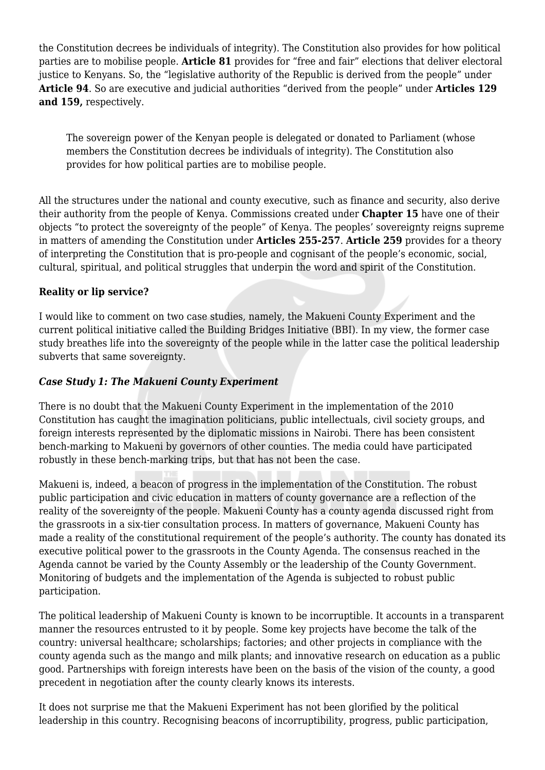the Constitution decrees be individuals of integrity). The Constitution also provides for how political parties are to mobilise people. **Article 81** provides for "free and fair" elections that deliver electoral justice to Kenyans. So, the "legislative authority of the Republic is derived from the people" under **Article 94**. So are executive and judicial authorities "derived from the people" under **Articles 129 and 159,** respectively.

The sovereign power of the Kenyan people is delegated or donated to Parliament (whose members the Constitution decrees be individuals of integrity). The Constitution also provides for how political parties are to mobilise people.

All the structures under the national and county executive, such as finance and security, also derive their authority from the people of Kenya. Commissions created under **Chapter 15** have one of their objects "to protect the sovereignty of the people" of Kenya. The peoples' sovereignty reigns supreme in matters of amending the Constitution under **Articles 255-257**. **Article 259** provides for a theory of interpreting the Constitution that is pro-people and cognisant of the people's economic, social, cultural, spiritual, and political struggles that underpin the word and spirit of the Constitution.

### **Reality or lip service?**

I would like to comment on two case studies, namely, the Makueni County Experiment and the current political initiative called the Building Bridges Initiative (BBI). In my view, the former case study breathes life into the sovereignty of the people while in the latter case the political leadership subverts that same sovereignty.

#### *Case Study 1: The Makueni County Experiment*

There is no doubt that the Makueni County Experiment in the implementation of the 2010 Constitution has caught the imagination politicians, public intellectuals, civil society groups, and foreign interests represented by the diplomatic missions in Nairobi. There has been consistent bench-marking to Makueni by governors of other counties. The media could have participated robustly in these bench-marking trips, but that has not been the case.

Makueni is, indeed, a beacon of progress in the implementation of the Constitution. The robust public participation and civic education in matters of county governance are a reflection of the reality of the sovereignty of the people. Makueni County has a county agenda discussed right from the grassroots in a six-tier consultation process. In matters of governance, Makueni County has made a reality of the constitutional requirement of the people's authority. The county has donated its executive political power to the grassroots in the County Agenda. The consensus reached in the Agenda cannot be varied by the County Assembly or the leadership of the County Government. Monitoring of budgets and the implementation of the Agenda is subjected to robust public participation.

The political leadership of Makueni County is known to be incorruptible. It accounts in a transparent manner the resources entrusted to it by people. Some key projects have become the talk of the country: universal healthcare; scholarships; factories; and other projects in compliance with the county agenda such as the mango and milk plants; and innovative research on education as a public good. Partnerships with foreign interests have been on the basis of the vision of the county, a good precedent in negotiation after the county clearly knows its interests.

It does not surprise me that the Makueni Experiment has not been glorified by the political leadership in this country. Recognising beacons of incorruptibility, progress, public participation,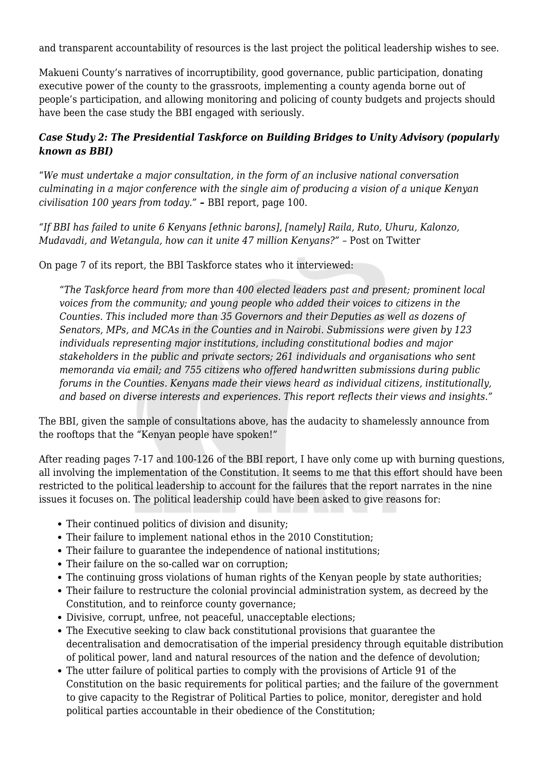and transparent accountability of resources is the last project the political leadership wishes to see.

Makueni County's narratives of incorruptibility, good governance, public participation, donating executive power of the county to the grassroots, implementing a county agenda borne out of people's participation, and allowing monitoring and policing of county budgets and projects should have been the case study the BBI engaged with seriously.

## *Case Study 2: The Presidential Taskforce on Building Bridges to Unity Advisory (popularly known as BBI)*

"*We must undertake a major consultation, in the form of an inclusive national conversation culminating in a major conference with the single aim of producing a vision of a unique Kenyan civilisation 100 years from today." –* BBI report, page 100.

*"If BBI has failed to unite 6 Kenyans [ethnic barons], [namely] Raila, Ruto, Uhuru, Kalonzo, Mudavadi, and Wetangula, how can it unite 47 million Kenyans?" - Post on Twitter* 

On page 7 of its report, the BBI Taskforce states who it interviewed:

"*The Taskforce heard from more than 400 elected leaders past and present; prominent local voices from the community; and young people who added their voices to citizens in the Counties. This included more than 35 Governors and their Deputies as well as dozens of Senators, MPs, and MCAs in the Counties and in Nairobi. Submissions were given by 123 individuals representing major institutions, including constitutional bodies and major stakeholders in the public and private sectors; 261 individuals and organisations who sent memoranda via email; and 755 citizens who offered handwritten submissions during public forums in the Counties. Kenyans made their views heard as individual citizens, institutionally, and based on diverse interests and experiences. This report reflects their views and insights."*

The BBI, given the sample of consultations above, has the audacity to shamelessly announce from the rooftops that the "Kenyan people have spoken!"

After reading pages 7-17 and 100-126 of the BBI report, I have only come up with burning questions, all involving the implementation of the Constitution. It seems to me that this effort should have been restricted to the political leadership to account for the failures that the report narrates in the nine issues it focuses on. The political leadership could have been asked to give reasons for:

- Their continued politics of division and disunity;
- Their failure to implement national ethos in the 2010 Constitution;
- Their failure to guarantee the independence of national institutions;
- Their failure on the so-called war on corruption;
- The continuing gross violations of human rights of the Kenyan people by state authorities;
- Their failure to restructure the colonial provincial administration system, as decreed by the Constitution, and to reinforce county governance;
- Divisive, corrupt, unfree, not peaceful, unacceptable elections;
- The Executive seeking to claw back constitutional provisions that guarantee the decentralisation and democratisation of the imperial presidency through equitable distribution of political power, land and natural resources of the nation and the defence of devolution;
- The utter failure of political parties to comply with the provisions of Article 91 of the Constitution on the basic requirements for political parties; and the failure of the government to give capacity to the Registrar of Political Parties to police, monitor, deregister and hold political parties accountable in their obedience of the Constitution;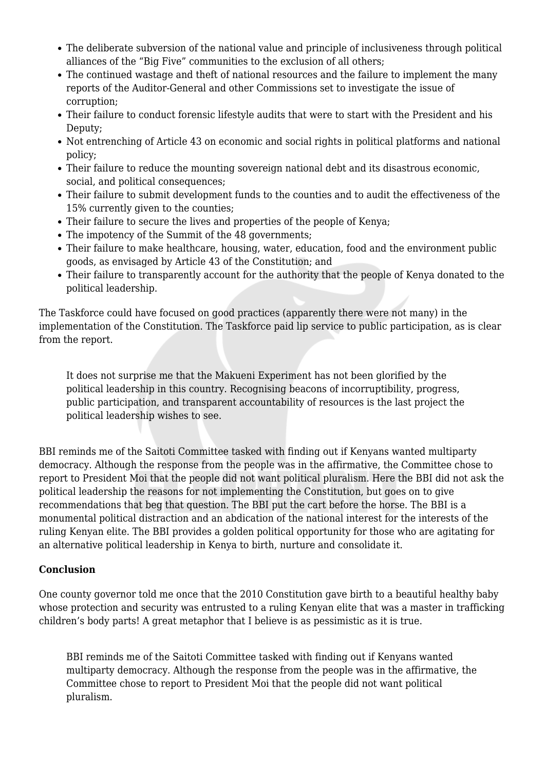- The deliberate subversion of the national value and principle of inclusiveness through political alliances of the "Big Five" communities to the exclusion of all others;
- The continued wastage and theft of national resources and the failure to implement the many reports of the Auditor-General and other Commissions set to investigate the issue of corruption;
- Their failure to conduct forensic lifestyle audits that were to start with the President and his Deputy;
- Not entrenching of Article 43 on economic and social rights in political platforms and national policy;
- Their failure to reduce the mounting sovereign national debt and its disastrous economic, social, and political consequences;
- Their failure to submit development funds to the counties and to audit the effectiveness of the 15% currently given to the counties;
- Their failure to secure the lives and properties of the people of Kenya;
- The impotency of the Summit of the 48 governments;
- Their failure to make healthcare, housing, water, education, food and the environment public goods, as envisaged by Article 43 of the Constitution; and
- Their failure to transparently account for the authority that the people of Kenya donated to the political leadership.

The Taskforce could have focused on good practices (apparently there were not many) in the implementation of the Constitution. The Taskforce paid lip service to public participation, as is clear from the report.

It does not surprise me that the Makueni Experiment has not been glorified by the political leadership in this country. Recognising beacons of incorruptibility, progress, public participation, and transparent accountability of resources is the last project the political leadership wishes to see.

BBI reminds me of the Saitoti Committee tasked with finding out if Kenyans wanted multiparty democracy. Although the response from the people was in the affirmative, the Committee chose to report to President Moi that the people did not want political pluralism. Here the BBI did not ask the political leadership the reasons for not implementing the Constitution, but goes on to give recommendations that beg that question. The BBI put the cart before the horse. The BBI is a monumental political distraction and an abdication of the national interest for the interests of the ruling Kenyan elite. The BBI provides a golden political opportunity for those who are agitating for an alternative political leadership in Kenya to birth, nurture and consolidate it.

### **Conclusion**

One county governor told me once that the 2010 Constitution gave birth to a beautiful healthy baby whose protection and security was entrusted to a ruling Kenyan elite that was a master in trafficking children's body parts! A great metaphor that I believe is as pessimistic as it is true.

BBI reminds me of the Saitoti Committee tasked with finding out if Kenyans wanted multiparty democracy. Although the response from the people was in the affirmative, the Committee chose to report to President Moi that the people did not want political pluralism.